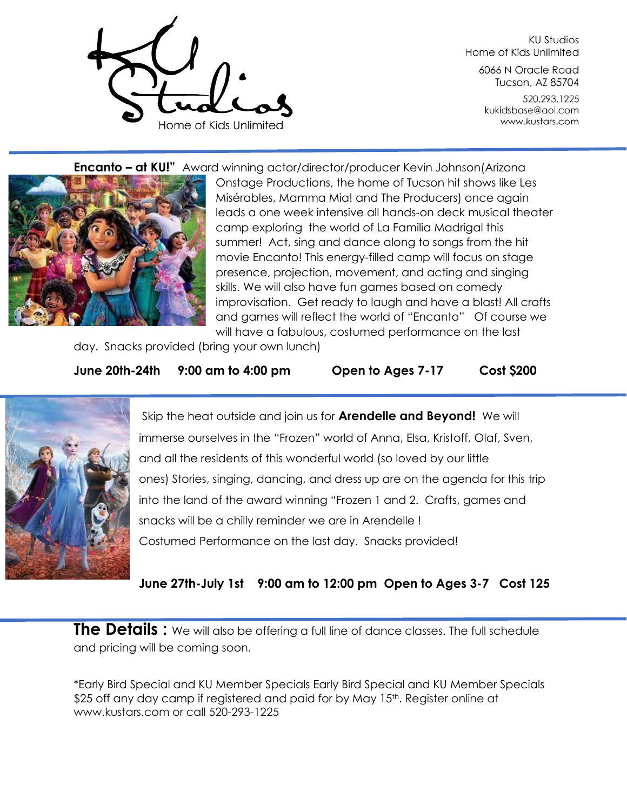

**KU Studios** Home of Kids Unlimited

6066 N Oracle Road Tucson, AZ 85704

520.293.1225 kukidsbase@aol.com www.kustars.com

**Encanto – at KU!"** Award winning actor/director/producer Kevin Johnson(Arizona



Onstage Productions, the home of Tucson hit shows like Les Misérables, Mamma Mia! and The Producers) once again leads a one week intensive all hands-on deck musical theater camp exploring the world of La Familia Madrigal this summer! Act, sing and dance along to songs from the hit movie Encanto! This energy-filled camp will focus on stage presence, projection, movement, and acting and singing skills. We will also have fun games based on comedy improvisation. Get ready to laugh and have a blast! All crafts and games will reflect the world of "Encanto" Of course we will have a fabulous, costumed performance on the last

day. Snacks provided (bring your own lunch)

**June 20th-24th 9:00 am to 4:00 pm Open to Ages 7-17 Cost \$200** 



Skip the heat outside and join us for **Arendelle and Beyond!** We will immerse ourselves in the "Frozen" world of Anna, Elsa, Kristoff, Olaf, Sven, and all the residents of this wonderful world (so loved by our little ones) Stories, singing, dancing, and dress up are on the agenda for this trip into the land of the award winning "Frozen 1 and 2. Crafts, games and snacks will be a chilly reminder we are in Arendelle ! Costumed Performance on the last day. Snacks provided!

**June 27th-July 1st 9:00 am to 12:00 pm Open to Ages 3-7 Cost 125**

**The Details :** We will also be offering a full line of dance classes. The full schedule and pricing will be coming soon.

\*Early Bird Special and KU Member Specials Early Bird Special and KU Member Specials \$25 off any day camp if registered and paid for by May 15<sup>th</sup>. Register online at www.kustars.com or call 520-293-1225